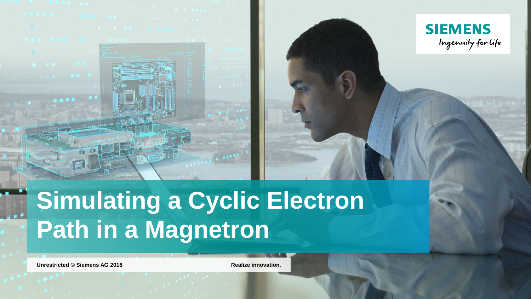



# **Simulating a Cyclic Electron Path in a Magnetron**

**Unrestricted** © Siemens AG 2018 **Realize innovation.**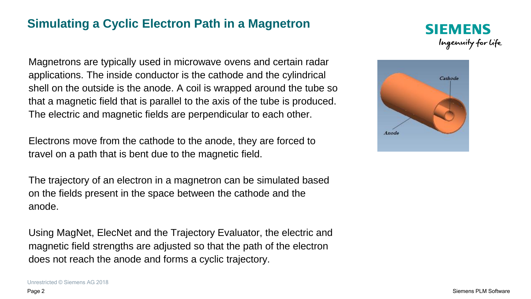### **Simulating a Cyclic Electron Path in a Magnetron**

Magnetrons are typically used in microwave ovens and certain radar applications. The inside conductor is the cathode and the cylindrical shell on the outside is the anode. A coil is wrapped around the tube so that a magnetic field that is parallel to the axis of the tube is produced. The electric and magnetic fields are perpendicular to each other.

Electrons move from the cathode to the anode, they are forced to travel on a path that is bent due to the magnetic field.

The trajectory of an electron in a magnetron can be simulated based on the fields present in the space between the cathode and the anode.

Using MagNet, ElecNet and the Trajectory Evaluator, the electric and magnetic field strengths are adjusted so that the path of the electron does not reach the anode and forms a cyclic trajectory.



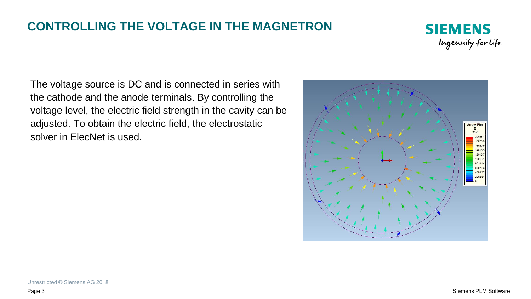## **CONTROLLING THE VOLTAGE IN THE MAGNETRON**



The voltage source is DC and is connected in series with the cathode and the anode terminals. By controlling the voltage level, the electric field strength in the cavity can be adjusted. To obtain the electric field, the electrostatic solver in ElecNet is used.

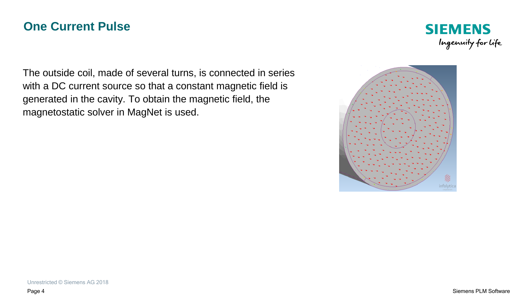#### **One Current Pulse**



The outside coil, made of several turns, is connected in series with a DC current source so that a constant magnetic field is generated in the cavity. To obtain the magnetic field, the magnetostatic solver in MagNet is used.

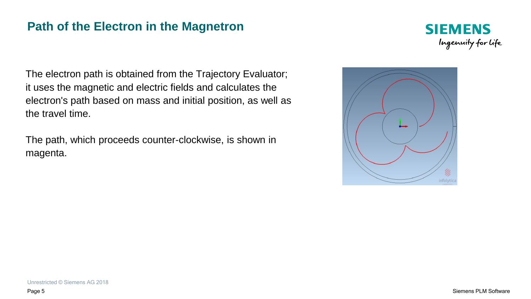#### **Path of the Electron in the Magnetron**



The electron path is obtained from the Trajectory Evaluator; it uses the magnetic and electric fields and calculates the electron's path based on mass and initial position, as well as the travel time.

The path, which proceeds counter-clockwise, is shown in magenta.

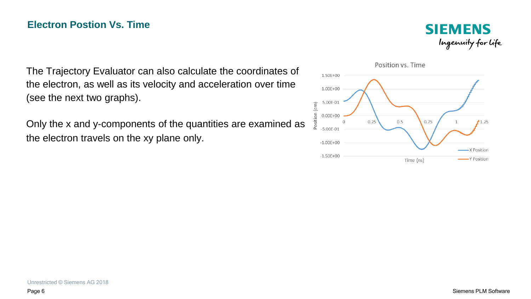**SIEMENS** Ingenuity for life

The Trajectory Evaluator can also calculate the coordinates of the electron, as well as its velocity and acceleration over time (see the next two graphs).

Only the x and y-components of the quantities are examined as the electron travels on the xy plane only.

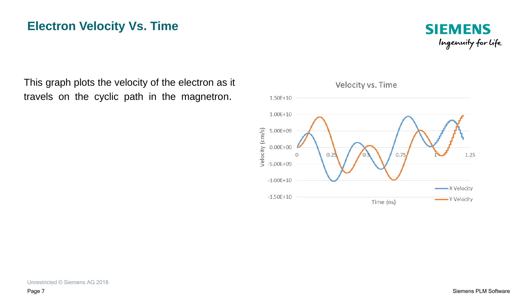## **Electron Velocity Vs. Time**



This graph plots the velocity of the electron as it travels on the cyclic path in the magnetron.